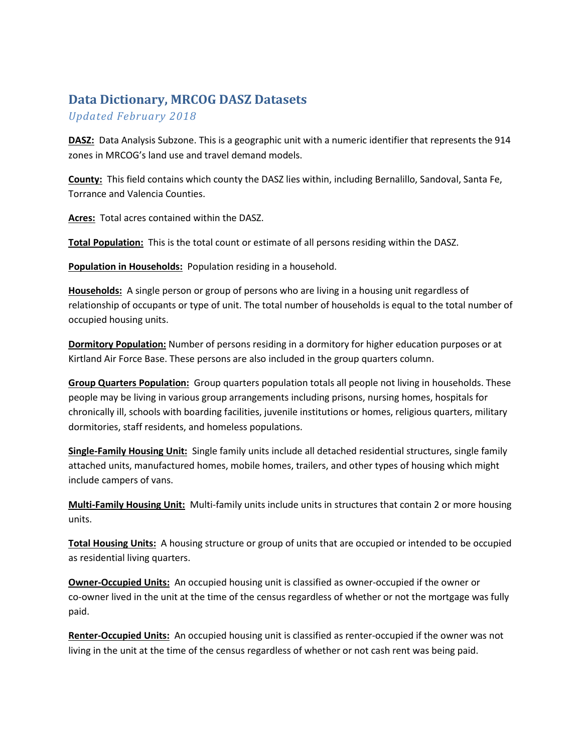## **Data Dictionary, MRCOG DASZ Datasets**

*Updated February 2018*

**DASZ:** Data Analysis Subzone. This is a geographic unit with a numeric identifier that represents the 914 zones in MRCOG's land use and travel demand models.

**County:** This field contains which county the DASZ lies within, including Bernalillo, Sandoval, Santa Fe, Torrance and Valencia Counties.

**Acres:** Total acres contained within the DASZ.

**Total Population:** This is the total count or estimate of all persons residing within the DASZ.

**Population in Households:** Population residing in a household.

**Households:** A single person or group of persons who are living in a housing unit regardless of relationship of occupants or type of unit. The total number of households is equal to the total number of occupied housing units.

**Dormitory Population:** Number of persons residing in a dormitory for higher education purposes or at Kirtland Air Force Base. These persons are also included in the group quarters column.

**Group Quarters Population:** Group quarters population totals all people not living in households. These people may be living in various group arrangements including prisons, nursing homes, hospitals for chronically ill, schools with boarding facilities, juvenile institutions or homes, religious quarters, military dormitories, staff residents, and homeless populations.

**Single‐Family Housing Unit:** Single family units include all detached residential structures, single family attached units, manufactured homes, mobile homes, trailers, and other types of housing which might include campers of vans.

**Multi‐Family Housing Unit:** Multi‐family units include units in structures that contain 2 or more housing units.

**Total Housing Units:** A housing structure or group of units that are occupied or intended to be occupied as residential living quarters.

**Owner‐Occupied Units:** An occupied housing unit is classified as owner‐occupied if the owner or co-owner lived in the unit at the time of the census regardless of whether or not the mortgage was fully paid.

**Renter‐Occupied Units:** An occupied housing unit is classified as renter‐occupied if the owner was not living in the unit at the time of the census regardless of whether or not cash rent was being paid.